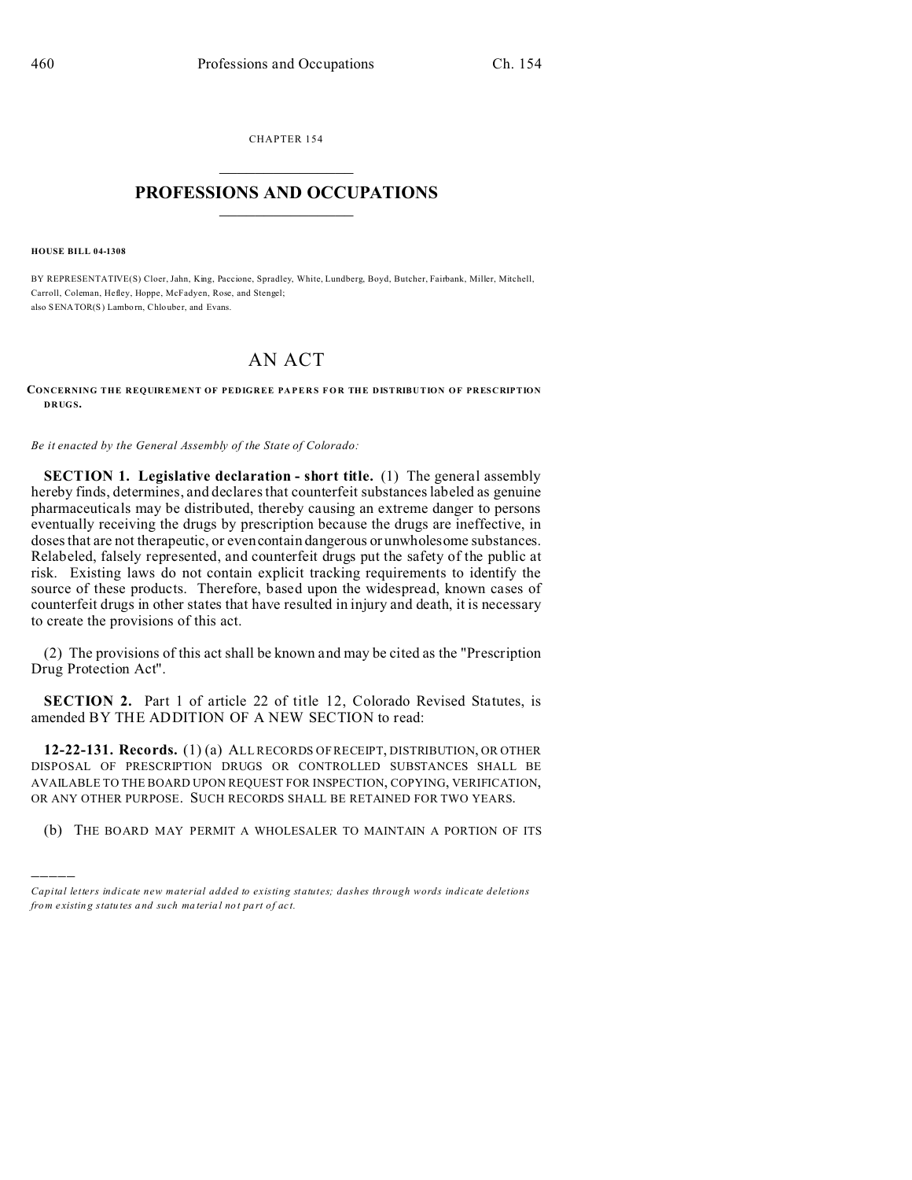CHAPTER 154  $\overline{\phantom{a}}$  , where  $\overline{\phantom{a}}$ 

## **PROFESSIONS AND OCCUPATIONS**  $\frac{1}{2}$  ,  $\frac{1}{2}$  ,  $\frac{1}{2}$  ,  $\frac{1}{2}$  ,  $\frac{1}{2}$  ,  $\frac{1}{2}$  ,  $\frac{1}{2}$

**HOUSE BILL 04-1308**

)))))

BY REPRESENTATIVE(S) Cloer, Jahn, King, Paccione, Spradley, White, Lundberg, Boyd, Butcher, Fairbank, Miller, Mitchell, Carroll, Coleman, Hefley, Hoppe, McFadyen, Rose, and Stengel; also SENATOR(S) Lamborn, Chlouber, and Evans.

## AN ACT

**CONCERNING THE REQUIREMENT OF PEDIGREE PAPERS FOR THE DISTRIBUTION OF PRESCRIPTION DRUGS.**

*Be it enacted by the General Assembly of the State of Colorado:*

**SECTION 1. Legislative declaration - short title.** (1) The general assembly hereby finds, determines, and declares that counterfeit substances labeled as genuine pharmaceuticals may be distributed, thereby causing an extreme danger to persons eventually receiving the drugs by prescription because the drugs are ineffective, in doses that are not therapeutic, or even contain dangerous or unwholesome substances. Relabeled, falsely represented, and counterfeit drugs put the safety of the public at risk. Existing laws do not contain explicit tracking requirements to identify the source of these products. Therefore, based upon the widespread, known cases of counterfeit drugs in other states that have resulted in injury and death, it is necessary to create the provisions of this act.

(2) The provisions of this act shall be known and may be cited as the "Prescription Drug Protection Act".

**SECTION 2.** Part 1 of article 22 of title 12, Colorado Revised Statutes, is amended BY THE ADDITION OF A NEW SECTION to read:

**12-22-131. Records.** (1) (a) ALL RECORDS OF RECEIPT, DISTRIBUTION, OR OTHER DISPOSAL OF PRESCRIPTION DRUGS OR CONTROLLED SUBSTANCES SHALL BE AVAILABLE TO THE BOARD UPON REQUEST FOR INSPECTION, COPYING, VERIFICATION, OR ANY OTHER PURPOSE. SUCH RECORDS SHALL BE RETAINED FOR TWO YEARS.

(b) THE BOARD MAY PERMIT A WHOLESALER TO MAINTAIN A PORTION OF ITS

*Capital letters indicate new material added to existing statutes; dashes through words indicate deletions from e xistin g statu tes a nd such ma teria l no t pa rt of ac t.*